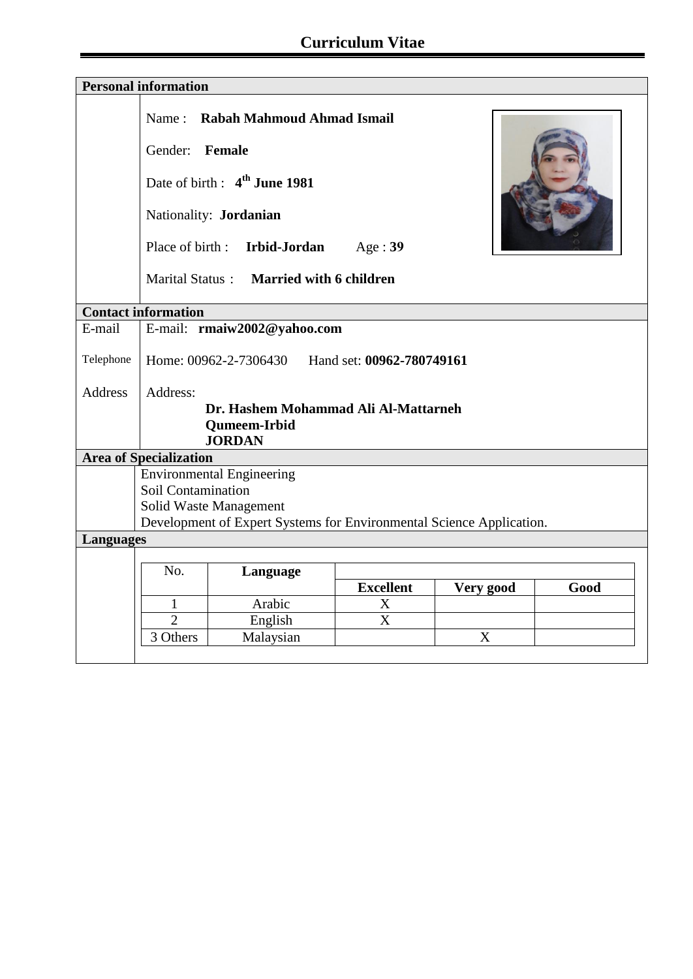| <b>Personal information</b> |                                                                                                |                                          |                  |           |      |  |  |
|-----------------------------|------------------------------------------------------------------------------------------------|------------------------------------------|------------------|-----------|------|--|--|
|                             |                                                                                                | Name: Rabah Mahmoud Ahmad Ismail         |                  |           |      |  |  |
|                             | Gender: Female                                                                                 |                                          |                  |           |      |  |  |
|                             |                                                                                                | Date of birth: 4 <sup>th</sup> June 1981 |                  |           |      |  |  |
|                             |                                                                                                | Nationality: Jordanian                   |                  |           |      |  |  |
|                             |                                                                                                | Place of birth : Irbid-Jordan            | Age:39           |           |      |  |  |
|                             | Marital Status: Married with 6 children                                                        |                                          |                  |           |      |  |  |
|                             | <b>Contact information</b>                                                                     |                                          |                  |           |      |  |  |
| E-mail                      | E-mail: rmaiw2002@yahoo.com                                                                    |                                          |                  |           |      |  |  |
| Telephone                   | Home: 00962-2-7306430<br>Hand set: 00962-780749161                                             |                                          |                  |           |      |  |  |
| <b>Address</b>              | Address:                                                                                       |                                          |                  |           |      |  |  |
|                             | Dr. Hashem Mohammad Ali Al-Mattarneh                                                           |                                          |                  |           |      |  |  |
|                             |                                                                                                | <b>Qumeem-Irbid</b>                      |                  |           |      |  |  |
|                             | <b>JORDAN</b>                                                                                  |                                          |                  |           |      |  |  |
|                             | <b>Area of Specialization</b>                                                                  |                                          |                  |           |      |  |  |
|                             | <b>Environmental Engineering</b>                                                               |                                          |                  |           |      |  |  |
|                             | Soil Contamination                                                                             |                                          |                  |           |      |  |  |
|                             | Solid Waste Management<br>Development of Expert Systems for Environmental Science Application. |                                          |                  |           |      |  |  |
| <b>Languages</b>            |                                                                                                |                                          |                  |           |      |  |  |
|                             |                                                                                                |                                          |                  |           |      |  |  |
|                             | No.                                                                                            | Language                                 |                  |           |      |  |  |
|                             |                                                                                                |                                          | <b>Excellent</b> | Very good | Good |  |  |
|                             | 1                                                                                              | Arabic                                   | X                |           |      |  |  |
|                             | $\overline{2}$                                                                                 | English                                  | X                |           |      |  |  |
|                             | 3 Others                                                                                       | Malaysian                                |                  | X         |      |  |  |
|                             |                                                                                                |                                          |                  |           |      |  |  |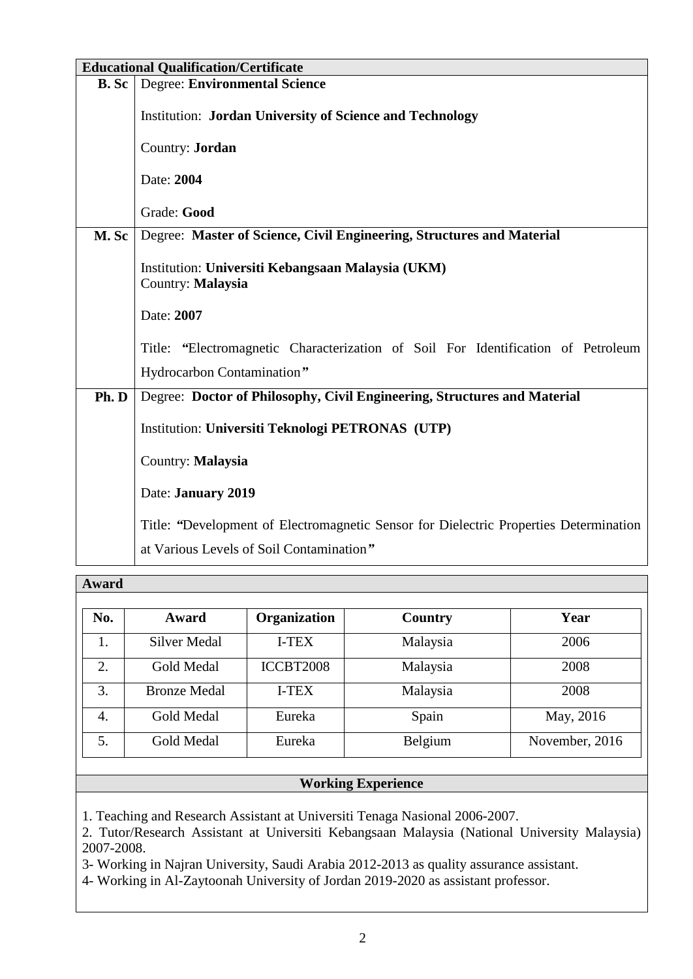| <b>Educational Qualification/Certificate</b> |                                                                                       |  |  |  |  |
|----------------------------------------------|---------------------------------------------------------------------------------------|--|--|--|--|
| <b>B.</b> Sc                                 | <b>Degree: Environmental Science</b>                                                  |  |  |  |  |
|                                              | <b>Institution: Jordan University of Science and Technology</b>                       |  |  |  |  |
|                                              | Country: Jordan                                                                       |  |  |  |  |
|                                              | Date: 2004                                                                            |  |  |  |  |
|                                              | Grade: Good                                                                           |  |  |  |  |
| M. Sc                                        | Degree: Master of Science, Civil Engineering, Structures and Material                 |  |  |  |  |
|                                              | Institution: Universiti Kebangsaan Malaysia (UKM)<br>Country: Malaysia                |  |  |  |  |
|                                              | Date: 2007                                                                            |  |  |  |  |
|                                              | Title: "Electromagnetic Characterization of Soil For Identification of Petroleum      |  |  |  |  |
|                                              | Hydrocarbon Contamination"                                                            |  |  |  |  |
| Ph. D                                        | Degree: Doctor of Philosophy, Civil Engineering, Structures and Material              |  |  |  |  |
|                                              | Institution: Universiti Teknologi PETRONAS (UTP)                                      |  |  |  |  |
|                                              | Country: Malaysia                                                                     |  |  |  |  |
|                                              | Date: January 2019                                                                    |  |  |  |  |
|                                              | Title: "Development of Electromagnetic Sensor for Dielectric Properties Determination |  |  |  |  |
|                                              | at Various Levels of Soil Contamination"                                              |  |  |  |  |

| Award |                     |              |          |                |  |  |
|-------|---------------------|--------------|----------|----------------|--|--|
| No.   | Award               | Organization | Country  | Year           |  |  |
| 1.    | <b>Silver Medal</b> | I-TEX        | Malaysia | 2006           |  |  |
| 2.    | <b>Gold Medal</b>   | ICCBT2008    | Malaysia | 2008           |  |  |
| 3.    | <b>Bronze Medal</b> | I-TEX        | Malaysia | 2008           |  |  |
| 4.    | <b>Gold Medal</b>   | Eureka       | Spain    | May, 2016      |  |  |
| 5.    | <b>Gold Medal</b>   | Eureka       | Belgium  | November, 2016 |  |  |

## **Working Experience**

1. Teaching and Research Assistant at Universiti Tenaga Nasional 2006-2007.

2. Tutor/Research Assistant at Universiti Kebangsaan Malaysia (National University Malaysia) 2007-2008.

3- Working in Najran University, Saudi Arabia 2012-2013 as quality assurance assistant.

4- Working in Al-Zaytoonah University of Jordan 2019-2020 as assistant professor.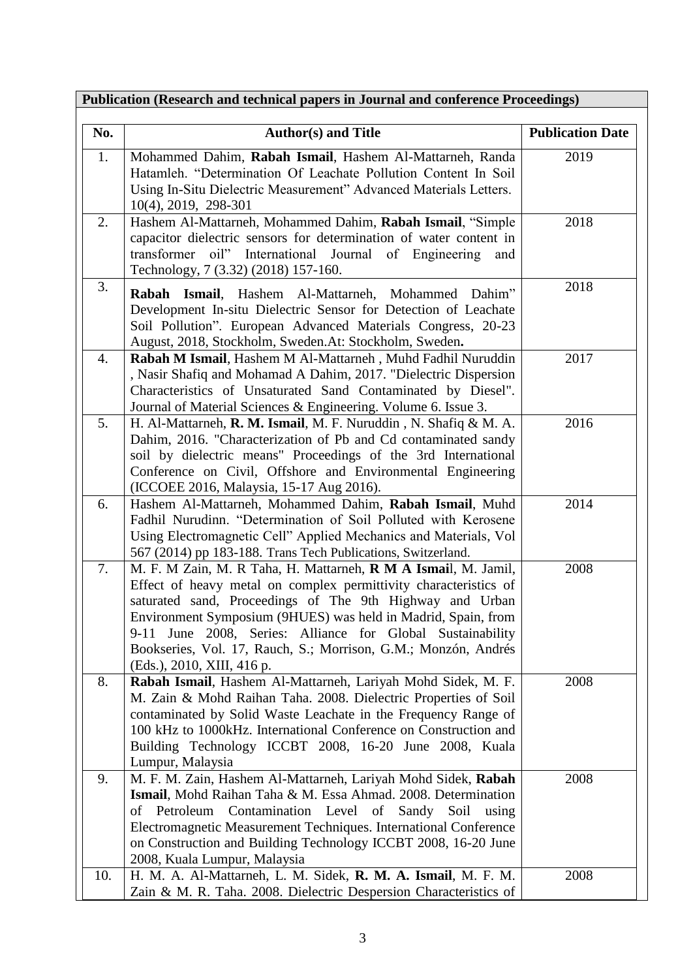| No. | <b>Author(s) and Title</b>                                          | <b>Publication Date</b> |
|-----|---------------------------------------------------------------------|-------------------------|
| 1.  | Mohammed Dahim, Rabah Ismail, Hashem Al-Mattarneh, Randa            | 2019                    |
|     | Hatamleh. "Determination Of Leachate Pollution Content In Soil      |                         |
|     | Using In-Situ Dielectric Measurement" Advanced Materials Letters.   |                         |
|     | $10(4)$ , 2019, 298-301                                             |                         |
| 2.  | Hashem Al-Mattarneh, Mohammed Dahim, Rabah Ismail, "Simple          | 2018                    |
|     | capacitor dielectric sensors for determination of water content in  |                         |
|     | transformer oil" International Journal of Engineering<br>and        |                         |
|     | Technology, 7 (3.32) (2018) 157-160.                                |                         |
| 3.  | <b>Rabah Ismail</b> , Hashem Al-Mattarneh, Mohammed<br>Dahim"       | 2018                    |
|     | Development In-situ Dielectric Sensor for Detection of Leachate     |                         |
|     | Soil Pollution". European Advanced Materials Congress, 20-23        |                         |
|     | August, 2018, Stockholm, Sweden.At: Stockholm, Sweden.              |                         |
| 4.  | Rabah M Ismail, Hashem M Al-Mattarneh, Muhd Fadhil Nuruddin         | 2017                    |
|     | , Nasir Shafiq and Mohamad A Dahim, 2017. "Dielectric Dispersion    |                         |
|     | Characteristics of Unsaturated Sand Contaminated by Diesel".        |                         |
|     | Journal of Material Sciences & Engineering. Volume 6. Issue 3.      |                         |
| 5.  | H. Al-Mattarneh, R. M. Ismail, M. F. Nuruddin, N. Shafiq & M. A.    | 2016                    |
|     | Dahim, 2016. "Characterization of Pb and Cd contaminated sandy      |                         |
|     | soil by dielectric means" Proceedings of the 3rd International      |                         |
|     | Conference on Civil, Offshore and Environmental Engineering         |                         |
|     | (ICCOEE 2016, Malaysia, 15-17 Aug 2016).                            |                         |
| 6.  | Hashem Al-Mattarneh, Mohammed Dahim, Rabah Ismail, Muhd             | 2014                    |
|     | Fadhil Nurudinn. "Determination of Soil Polluted with Kerosene      |                         |
|     | Using Electromagnetic Cell" Applied Mechanics and Materials, Vol    |                         |
|     | 567 (2014) pp 183-188. Trans Tech Publications, Switzerland.        |                         |
| 7.  | M. F. M Zain, M. R Taha, H. Mattarneh, R M A Ismail, M. Jamil,      | 2008                    |
|     | Effect of heavy metal on complex permittivity characteristics of    |                         |
|     | saturated sand, Proceedings of The 9th Highway and Urban            |                         |
|     | Environment Symposium (9HUES) was held in Madrid, Spain, from       |                         |
|     | June 2008, Series: Alliance for Global<br>Sustainability<br>$9-11$  |                         |
|     | Bookseries, Vol. 17, Rauch, S.; Morrison, G.M.; Monzón, Andrés      |                         |
|     | (Eds.), 2010, XIII, 416 p.                                          |                         |
| 8.  | Rabah Ismail, Hashem Al-Mattarneh, Lariyah Mohd Sidek, M. F.        | 2008                    |
|     | M. Zain & Mohd Raihan Taha. 2008. Dielectric Properties of Soil     |                         |
|     | contaminated by Solid Waste Leachate in the Frequency Range of      |                         |
|     | 100 kHz to 1000kHz. International Conference on Construction and    |                         |
|     | Building Technology ICCBT 2008, 16-20 June 2008, Kuala              |                         |
|     | Lumpur, Malaysia                                                    |                         |
| 9.  | M. F. M. Zain, Hashem Al-Mattarneh, Lariyah Mohd Sidek, Rabah       | 2008                    |
|     | Ismail, Mohd Raihan Taha & M. Essa Ahmad. 2008. Determination       |                         |
|     | Contamination Level<br>of<br>Sandy<br>of Petroleum<br>Soil<br>using |                         |
|     | Electromagnetic Measurement Techniques. International Conference    |                         |
|     | on Construction and Building Technology ICCBT 2008, 16-20 June      |                         |
|     | 2008, Kuala Lumpur, Malaysia                                        |                         |
| 10. | H. M. A. Al-Mattarneh, L. M. Sidek, R. M. A. Ismail, M. F. M.       | 2008                    |
|     | Zain & M. R. Taha. 2008. Dielectric Despersion Characteristics of   |                         |